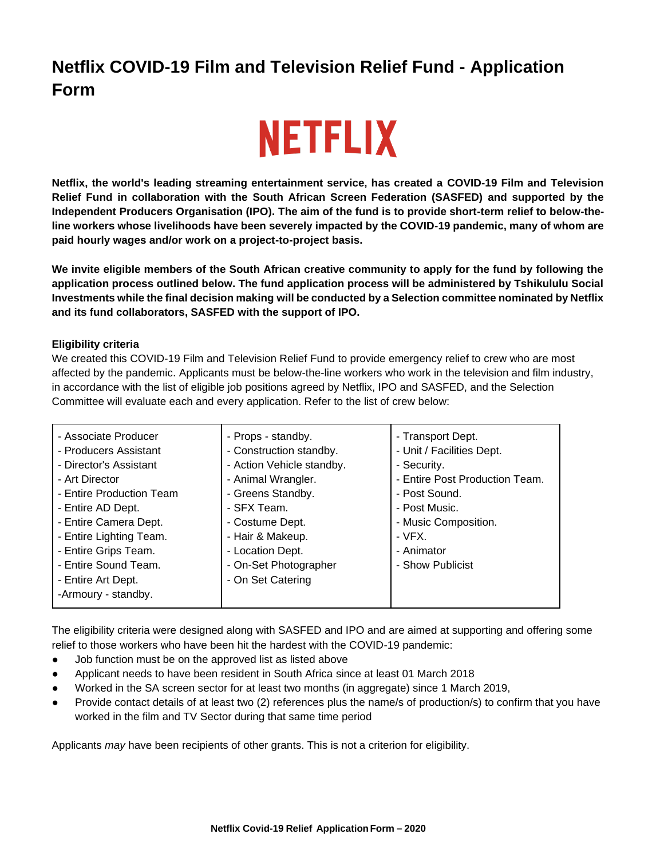## **Netflix COVID-19 Film and Television Relief Fund - Application Form**

# **NETFLIX**

**Netflix, the world's leading streaming entertainment service, has created a COVID-19 Film and Television Relief Fund in collaboration with the South African Screen Federation (SASFED) and supported by the Independent Producers Organisation (IPO). The aim of the fund is to provide short-term relief to below-theline workers whose livelihoods have been severely impacted by the COVID-19 pandemic, many of whom are paid hourly wages and/or work on a project-to-project basis.**

**We invite eligible members of the South African creative community to apply for the fund by following the application process outlined below. The fund application process will be administered by Tshikululu Social Investments while the final decision making will be conducted by a Selection committee nominated by Netflix and its fund collaborators, SASFED with the support of IPO.** 

## **Eligibility criteria**

We created this COVID-19 Film and Television Relief Fund to provide emergency relief to crew who are most affected by the pandemic. Applicants must be below-the-line workers who work in the television and film industry, in accordance with the list of eligible job positions agreed by Netflix, IPO and SASFED, and the Selection Committee will evaluate each and every application. Refer to the list of crew below:

| - Associate Producer     | - Props - standby.        | - Transport Dept.              |
|--------------------------|---------------------------|--------------------------------|
| - Producers Assistant    | - Construction standby.   | - Unit / Facilities Dept.      |
| - Director's Assistant   | - Action Vehicle standby. | - Security.                    |
| - Art Director           | - Animal Wrangler.        | - Entire Post Production Team. |
| - Entire Production Team | - Greens Standby.         | - Post Sound.                  |
| - Entire AD Dept.        | - SFX Team.               | - Post Music.                  |
| - Entire Camera Dept.    | - Costume Dept.           | - Music Composition.           |
| - Entire Lighting Team.  | - Hair & Makeup.          | $-VFX$ .                       |
| - Entire Grips Team.     | - Location Dept.          | - Animator                     |
| - Entire Sound Team.     | - On-Set Photographer     | - Show Publicist               |
| - Entire Art Dept.       | - On Set Catering         |                                |
| -Armoury - standby.      |                           |                                |
|                          |                           |                                |

The eligibility criteria were designed along with SASFED and IPO and are aimed at supporting and offering some relief to those workers who have been hit the hardest with the COVID-19 pandemic:

- Job function must be on the approved list as listed above
- Applicant needs to have been resident in South Africa since at least 01 March 2018
- Worked in the SA screen sector for at least two months (in aggregate) since 1 March 2019,
- Provide contact details of at least two (2) references plus the name/s of production/s) to confirm that you have worked in the film and TV Sector during that same time period

Applicants *may* have been recipients of other grants. This is not a criterion for eligibility.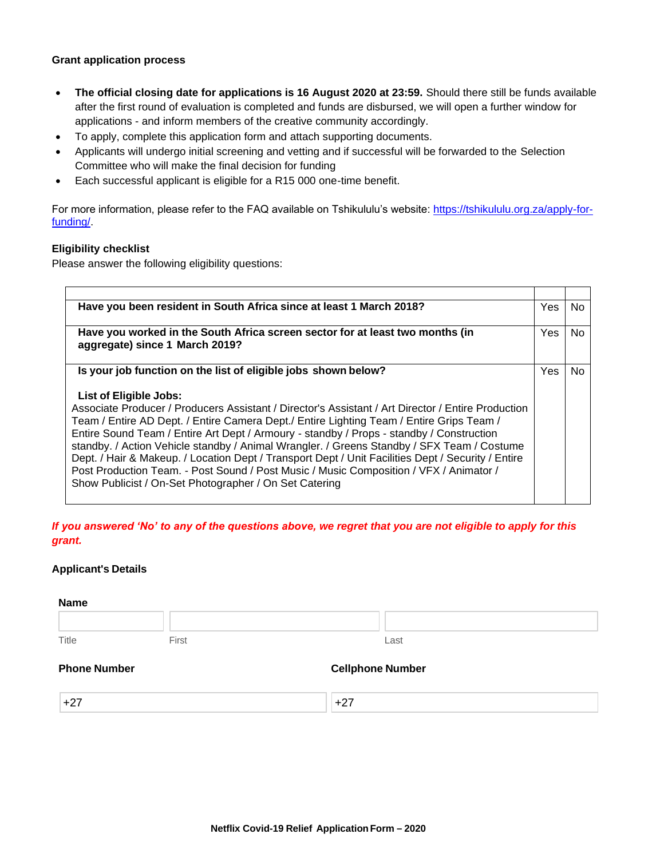## **Grant application process**

- **The official closing date for applications is 16 August 2020 at 23:59.** Should there still be funds available after the first round of evaluation is completed and funds are disbursed, we will open a further window for applications - and inform members of the creative community accordingly.
- To apply, complete this application form and attach supporting documents.
- Applicants will undergo initial screening and vetting and if successful will be forwarded to the Selection Committee who will make the final decision for funding
- Each successful applicant is eligible for a R15 000 one-time benefit.

For more information, please refer to the FAQ available on Tshikululu's website: [https://tshikululu.org.za/apply-for](https://tshikululu.org.za/apply-for-funding/)[funding/.](https://tshikululu.org.za/apply-for-funding/)

## **Eligibility checklist**

Please answer the following eligibility questions:

| Have you been resident in South Africa since at least 1 March 2018?                                                                                                                                                                                                                                                                                                                                                                                                                                                                                                                                                                                                          | <b>Yes</b> | No. |
|------------------------------------------------------------------------------------------------------------------------------------------------------------------------------------------------------------------------------------------------------------------------------------------------------------------------------------------------------------------------------------------------------------------------------------------------------------------------------------------------------------------------------------------------------------------------------------------------------------------------------------------------------------------------------|------------|-----|
| Have you worked in the South Africa screen sector for at least two months (in<br>aggregate) since 1 March 2019?                                                                                                                                                                                                                                                                                                                                                                                                                                                                                                                                                              | Yes        | No. |
| Is your job function on the list of eligible jobs shown below?                                                                                                                                                                                                                                                                                                                                                                                                                                                                                                                                                                                                               | Yes        | No  |
| List of Eligible Jobs:<br>Associate Producer / Producers Assistant / Director's Assistant / Art Director / Entire Production<br>Team / Entire AD Dept. / Entire Camera Dept./ Entire Lighting Team / Entire Grips Team /<br>Entire Sound Team / Entire Art Dept / Armoury - standby / Props - standby / Construction<br>standby. / Action Vehicle standby / Animal Wrangler. / Greens Standby / SFX Team / Costume<br>Dept. / Hair & Makeup. / Location Dept / Transport Dept / Unit Facilities Dept / Security / Entire<br>Post Production Team. - Post Sound / Post Music / Music Composition / VFX / Animator /<br>Show Publicist / On-Set Photographer / On Set Catering |            |     |

*If you answered 'No' to any of the questions above, we regret that you are not eligible to apply for this grant.* 

## **Applicant's Details**

| <b>Name</b>         |       |                         |
|---------------------|-------|-------------------------|
|                     |       |                         |
| Title               | First | Last                    |
| <b>Phone Number</b> |       | <b>Cellphone Number</b> |
| $+27$               |       | $+27$                   |
|                     |       |                         |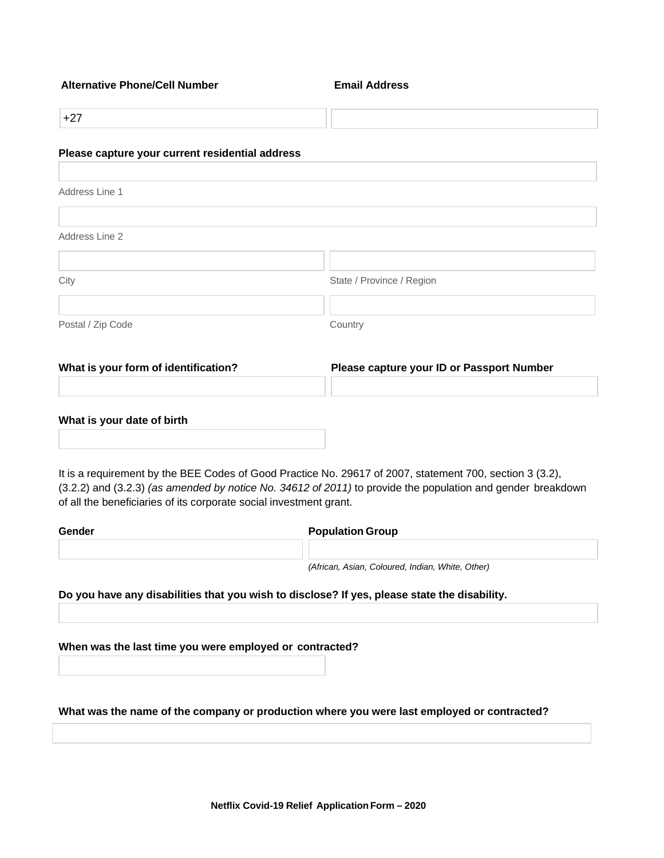#### **Alternative Phone/Cell Number Email Address**

+27

#### **Please capture your current residential address**

Address Line 1 Address Line 2 City **State / Province / Region** Postal / Zip Code Country

**What is your form of identification? Please capture your ID or Passport Number**

#### **What is your date of birth**

It is a requirement by the BEE Codes of Good Practice No. 29617 of 2007, statement 700, section 3 (3.2), (3.2.2) and (3.2.3) *(as amended by notice No. 34612 of 2011)* to provide the population and gender breakdown of all the beneficiaries of its corporate social investment grant.

| Gender | <b>Population Group</b>                          |  |
|--------|--------------------------------------------------|--|
|        |                                                  |  |
|        | (African, Asian, Coloured, Indian, White, Other) |  |

**Do you have any disabilities that you wish to disclose? If yes, please state the disability.**

**When was the last time you were employed or contracted?**

**What was the name of the company or production where you were last employed or contracted?**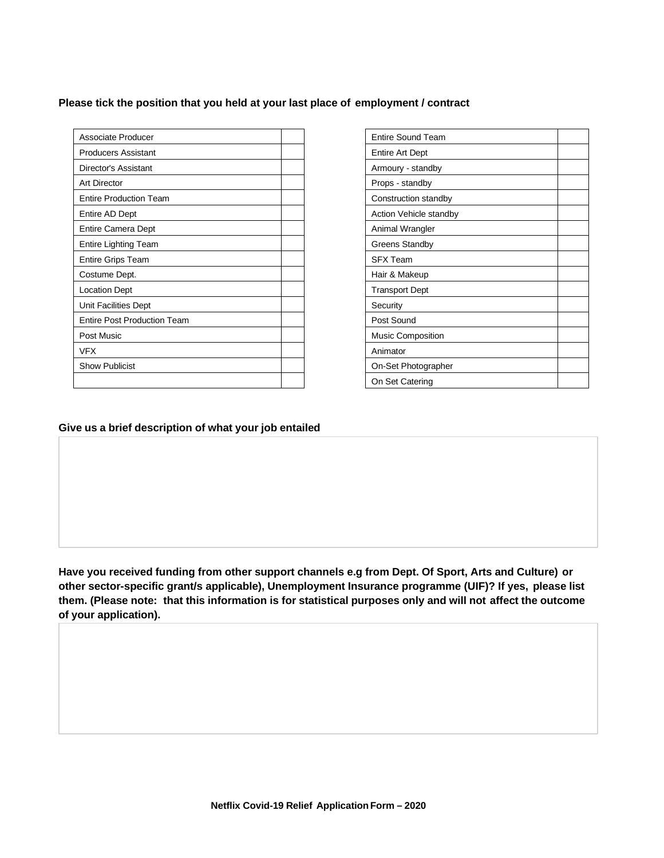## **Please tick the position that you held at your last place of employment / contract**

| Associate Producer                 | Entire Sound Team      |
|------------------------------------|------------------------|
| <b>Producers Assistant</b>         | Entire Art Dept        |
| Director's Assistant               | Armoury - standby      |
| <b>Art Director</b>                | Props - standby        |
| <b>Entire Production Team</b>      | Construction standby   |
| Entire AD Dept                     | Action Vehicle standby |
| Entire Camera Dept                 | Animal Wrangler        |
| Entire Lighting Team               | <b>Greens Standby</b>  |
| <b>Entire Grips Team</b>           | <b>SFX Team</b>        |
| Costume Dept.                      | Hair & Makeup          |
| <b>Location Dept</b>               | <b>Transport Dept</b>  |
| Unit Facilities Dept               | Security               |
| <b>Entire Post Production Team</b> | Post Sound             |
| Post Music                         | Music Composition      |
| <b>VFX</b>                         | Animator               |
| <b>Show Publicist</b>              | On-Set Photographer    |
|                                    | On Set Catering        |

| Entire Sound Team        |  |
|--------------------------|--|
| Entire Art Dept          |  |
| Armoury - standby        |  |
| Props - standby          |  |
| Construction standby     |  |
| Action Vehicle standby   |  |
| Animal Wrangler          |  |
| <b>Greens Standby</b>    |  |
| <b>SFX Team</b>          |  |
| Hair & Makeup            |  |
| <b>Transport Dept</b>    |  |
| Security                 |  |
| Post Sound               |  |
| <b>Music Composition</b> |  |
| Animator                 |  |
| On-Set Photographer      |  |
| On Set Catering          |  |

## **Give us a brief description of what your job entailed**

**Have you received funding from other support channels e.g from Dept. Of Sport, Arts and Culture) or other sector-specific grant/s applicable), Unemployment Insurance programme (UIF)? If yes, please list them. (Please note: that this information is for statistical purposes only and will not affect the outcome of your application).**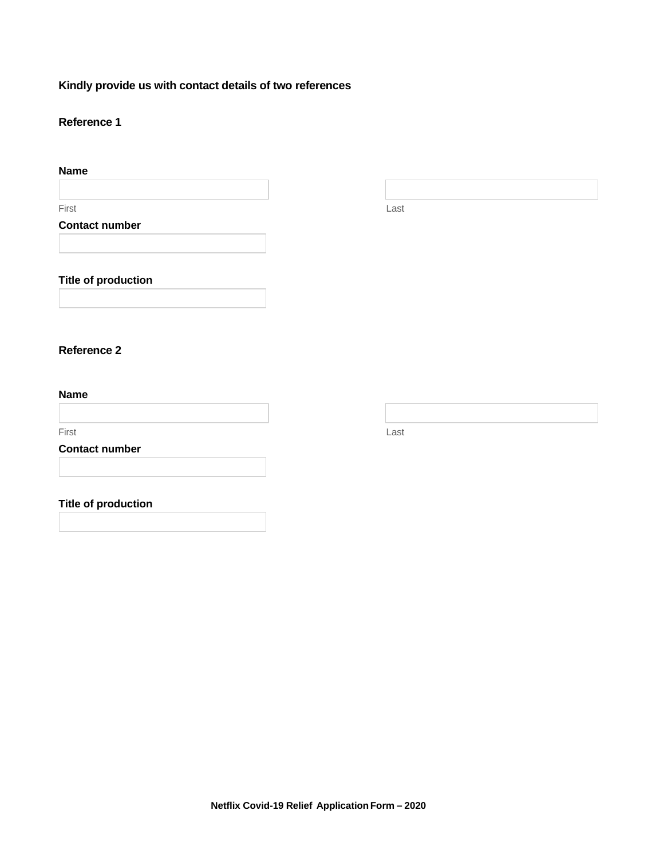## **Kindly provide us with contact details of two references**

## **Reference 1**

| <b>Name</b>           |      |
|-----------------------|------|
|                       |      |
| First                 | Last |
| <b>Contact number</b> |      |
|                       |      |
|                       |      |

## **Title of production**

## **Reference 2**

## **Name**

First Last

## **Contact number**

## **Title of production**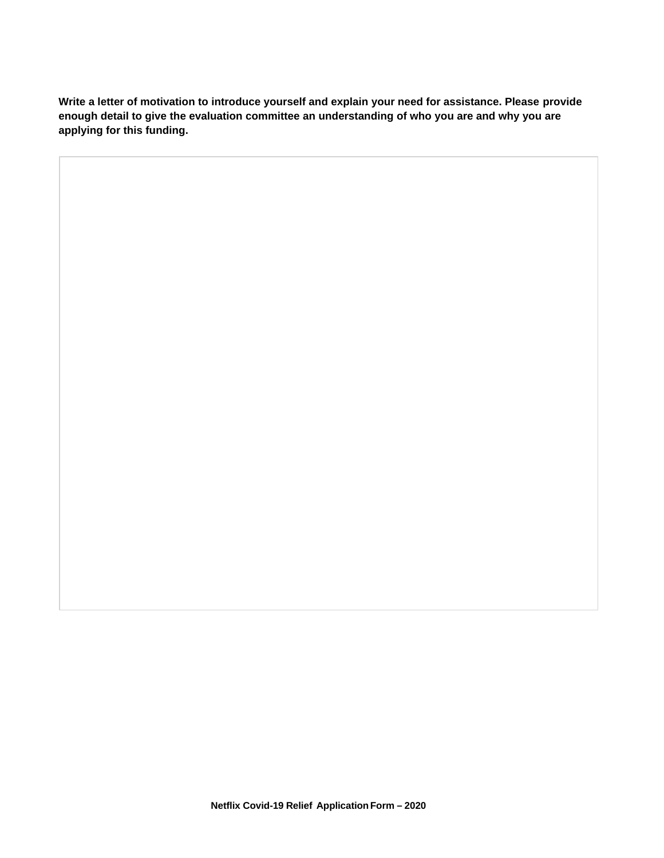**Write a letter of motivation to introduce yourself and explain your need for assistance. Please provide enough detail to give the evaluation committee an understanding of who you are and why you are applying for this funding.**